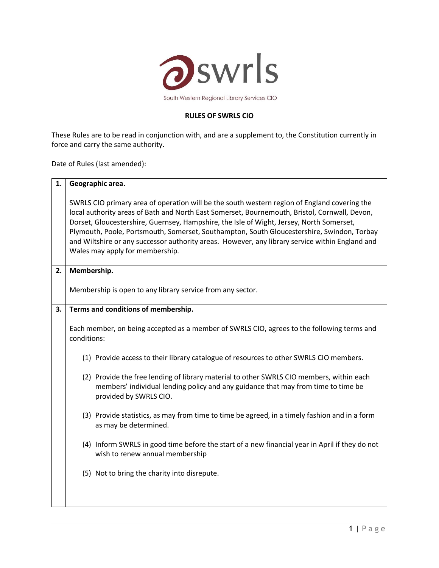

## **RULES OF SWRLS CIO**

These Rules are to be read in conjunction with, and are a supplement to, the Constitution currently in force and carry the same authority.

Date of Rules (last amended):

| 1. | Geographic area.                                                                                                                                                                                                                                                                                                                                                                                                                                                                                                              |
|----|-------------------------------------------------------------------------------------------------------------------------------------------------------------------------------------------------------------------------------------------------------------------------------------------------------------------------------------------------------------------------------------------------------------------------------------------------------------------------------------------------------------------------------|
|    | SWRLS CIO primary area of operation will be the south western region of England covering the<br>local authority areas of Bath and North East Somerset, Bournemouth, Bristol, Cornwall, Devon,<br>Dorset, Gloucestershire, Guernsey, Hampshire, the Isle of Wight, Jersey, North Somerset,<br>Plymouth, Poole, Portsmouth, Somerset, Southampton, South Gloucestershire, Swindon, Torbay<br>and Wiltshire or any successor authority areas. However, any library service within England and<br>Wales may apply for membership. |
| 2. | Membership.                                                                                                                                                                                                                                                                                                                                                                                                                                                                                                                   |
|    | Membership is open to any library service from any sector.                                                                                                                                                                                                                                                                                                                                                                                                                                                                    |
| 3. | Terms and conditions of membership.                                                                                                                                                                                                                                                                                                                                                                                                                                                                                           |
|    | Each member, on being accepted as a member of SWRLS CIO, agrees to the following terms and<br>conditions:                                                                                                                                                                                                                                                                                                                                                                                                                     |
|    | (1) Provide access to their library catalogue of resources to other SWRLS CIO members.                                                                                                                                                                                                                                                                                                                                                                                                                                        |
|    | (2) Provide the free lending of library material to other SWRLS CIO members, within each<br>members' individual lending policy and any guidance that may from time to time be<br>provided by SWRLS CIO.                                                                                                                                                                                                                                                                                                                       |
|    | (3) Provide statistics, as may from time to time be agreed, in a timely fashion and in a form<br>as may be determined.                                                                                                                                                                                                                                                                                                                                                                                                        |
|    | (4) Inform SWRLS in good time before the start of a new financial year in April if they do not<br>wish to renew annual membership                                                                                                                                                                                                                                                                                                                                                                                             |
|    | (5) Not to bring the charity into disrepute.                                                                                                                                                                                                                                                                                                                                                                                                                                                                                  |
|    |                                                                                                                                                                                                                                                                                                                                                                                                                                                                                                                               |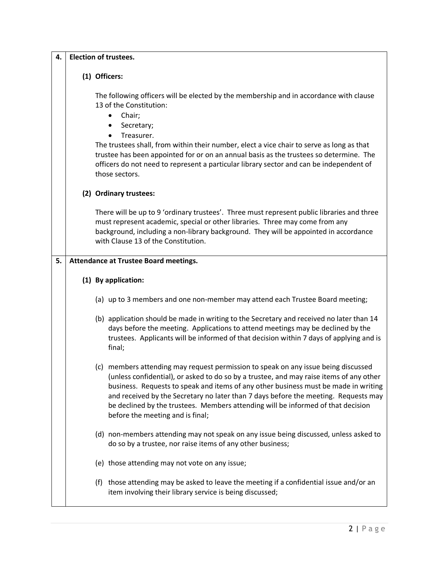| 4. | <b>Election of trustees.</b> |                                                                                                                                                                                                                                                                                                                                                                                                                                                                                     |  |
|----|------------------------------|-------------------------------------------------------------------------------------------------------------------------------------------------------------------------------------------------------------------------------------------------------------------------------------------------------------------------------------------------------------------------------------------------------------------------------------------------------------------------------------|--|
|    |                              | (1) Officers:                                                                                                                                                                                                                                                                                                                                                                                                                                                                       |  |
|    |                              | The following officers will be elected by the membership and in accordance with clause<br>13 of the Constitution:<br>Chair;<br>٠<br>Secretary;<br>Treasurer.                                                                                                                                                                                                                                                                                                                        |  |
|    |                              | The trustees shall, from within their number, elect a vice chair to serve as long as that<br>trustee has been appointed for or on an annual basis as the trustees so determine. The<br>officers do not need to represent a particular library sector and can be independent of<br>those sectors.                                                                                                                                                                                    |  |
|    |                              | (2) Ordinary trustees:                                                                                                                                                                                                                                                                                                                                                                                                                                                              |  |
|    |                              | There will be up to 9 'ordinary trustees'. Three must represent public libraries and three<br>must represent academic, special or other libraries. Three may come from any<br>background, including a non-library background. They will be appointed in accordance<br>with Clause 13 of the Constitution.                                                                                                                                                                           |  |
| 5. |                              | <b>Attendance at Trustee Board meetings.</b>                                                                                                                                                                                                                                                                                                                                                                                                                                        |  |
|    |                              | (1) By application:                                                                                                                                                                                                                                                                                                                                                                                                                                                                 |  |
|    |                              | (a) up to 3 members and one non-member may attend each Trustee Board meeting;                                                                                                                                                                                                                                                                                                                                                                                                       |  |
|    |                              | (b) application should be made in writing to the Secretary and received no later than 14<br>days before the meeting. Applications to attend meetings may be declined by the<br>trustees. Applicants will be informed of that decision within 7 days of applying and is<br>final;                                                                                                                                                                                                    |  |
|    |                              | (c) members attending may request permission to speak on any issue being discussed<br>(unless confidential), or asked to do so by a trustee, and may raise items of any other<br>business. Requests to speak and items of any other business must be made in writing<br>and received by the Secretary no later than 7 days before the meeting. Requests may<br>be declined by the trustees. Members attending will be informed of that decision<br>before the meeting and is final; |  |
|    |                              | (d) non-members attending may not speak on any issue being discussed, unless asked to<br>do so by a trustee, nor raise items of any other business;                                                                                                                                                                                                                                                                                                                                 |  |
|    |                              | (e) those attending may not vote on any issue;                                                                                                                                                                                                                                                                                                                                                                                                                                      |  |
|    |                              | (f) those attending may be asked to leave the meeting if a confidential issue and/or an<br>item involving their library service is being discussed;                                                                                                                                                                                                                                                                                                                                 |  |